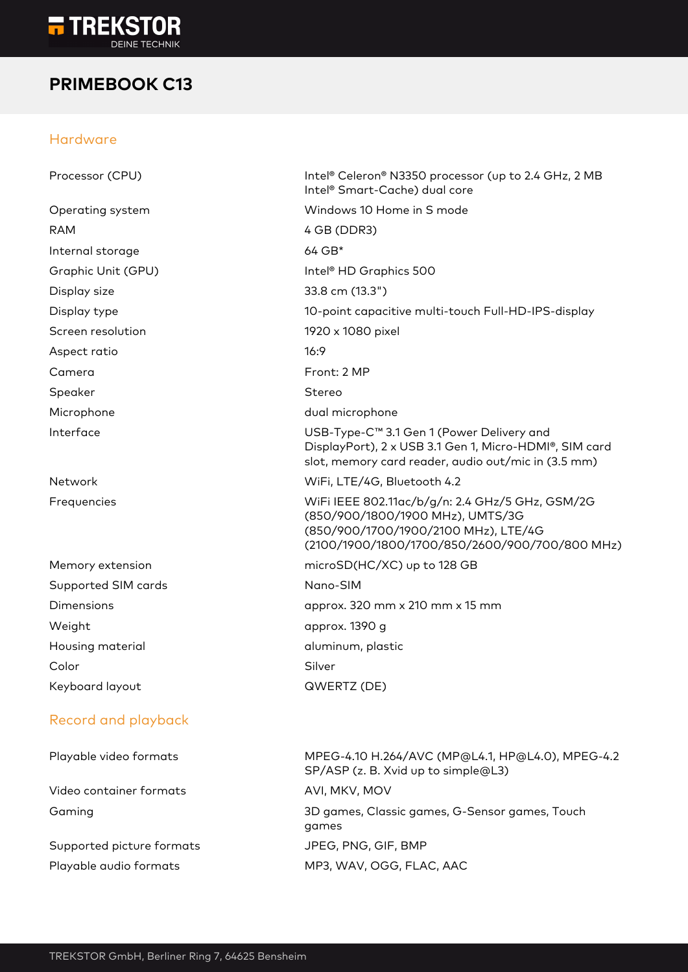

## **PRIMEBOOK C13**

### Hardware

| Processor (CPU)           | Intel® Celeron® N3350 processor (up to 2.4 GHz, 2 MB<br>Intel <sup>®</sup> Smart-Cache) dual core                                                                             |
|---------------------------|-------------------------------------------------------------------------------------------------------------------------------------------------------------------------------|
| Operating system          | Windows 10 Home in S mode                                                                                                                                                     |
| <b>RAM</b>                | 4 GB (DDR3)                                                                                                                                                                   |
| Internal storage          | 64 GB*                                                                                                                                                                        |
| Graphic Unit (GPU)        | Intel <sup>®</sup> HD Graphics 500                                                                                                                                            |
| Display size              | 33.8 cm (13.3")                                                                                                                                                               |
| Display type              | 10-point capacitive multi-touch Full-HD-IPS-display                                                                                                                           |
| Screen resolution         | 1920 x 1080 pixel                                                                                                                                                             |
| Aspect ratio              | 16:9                                                                                                                                                                          |
| Camera                    | Front: 2 MP                                                                                                                                                                   |
| Speaker                   | Stereo                                                                                                                                                                        |
| Microphone                | dual microphone                                                                                                                                                               |
| Interface                 | USB-Type-C™ 3.1 Gen 1 (Power Delivery and<br>DisplayPort), 2 x USB 3.1 Gen 1, Micro-HDMI®, SIM card<br>slot, memory card reader, audio out/mic in (3.5 mm)                    |
| Network                   | WiFi, LTE/4G, Bluetooth 4.2                                                                                                                                                   |
| Frequencies               | WiFi IEEE 802.11ac/b/g/n: 2.4 GHz/5 GHz, GSM/2G<br>(850/900/1800/1900 MHz), UMTS/3G<br>(850/900/1700/1900/2100 MHz), LTE/4G<br>(2100/1900/1800/1700/850/2600/900/700/800 MHz) |
| Memory extension          | microSD(HC/XC) up to 128 GB                                                                                                                                                   |
| Supported SIM cards       | Nano-SIM                                                                                                                                                                      |
| Dimensions                | approx. 320 mm x 210 mm x 15 mm                                                                                                                                               |
| Weight                    | approx. 1390 g                                                                                                                                                                |
| Housing material          | aluminum, plastic                                                                                                                                                             |
| Color                     | Silver                                                                                                                                                                        |
| Keyboard layout           | QWERTZ (DE)                                                                                                                                                                   |
| Record and playback       |                                                                                                                                                                               |
| Playable video formats    | MPEG-4.10 H.264/AVC (MP@L4.1, HP@L4.0), MPEG-4.2<br>SP/ASP (z. B. Xvid up to simple@L3)                                                                                       |
| Video container formats   | AVI, MKV, MOV                                                                                                                                                                 |
| Gaming                    | 3D games, Classic games, G-Sensor games, Touch<br>games                                                                                                                       |
| Supported picture formats | JPEG, PNG, GIF, BMP                                                                                                                                                           |
| Playable audio formats    | MP3, WAV, OGG, FLAC, AAC                                                                                                                                                      |